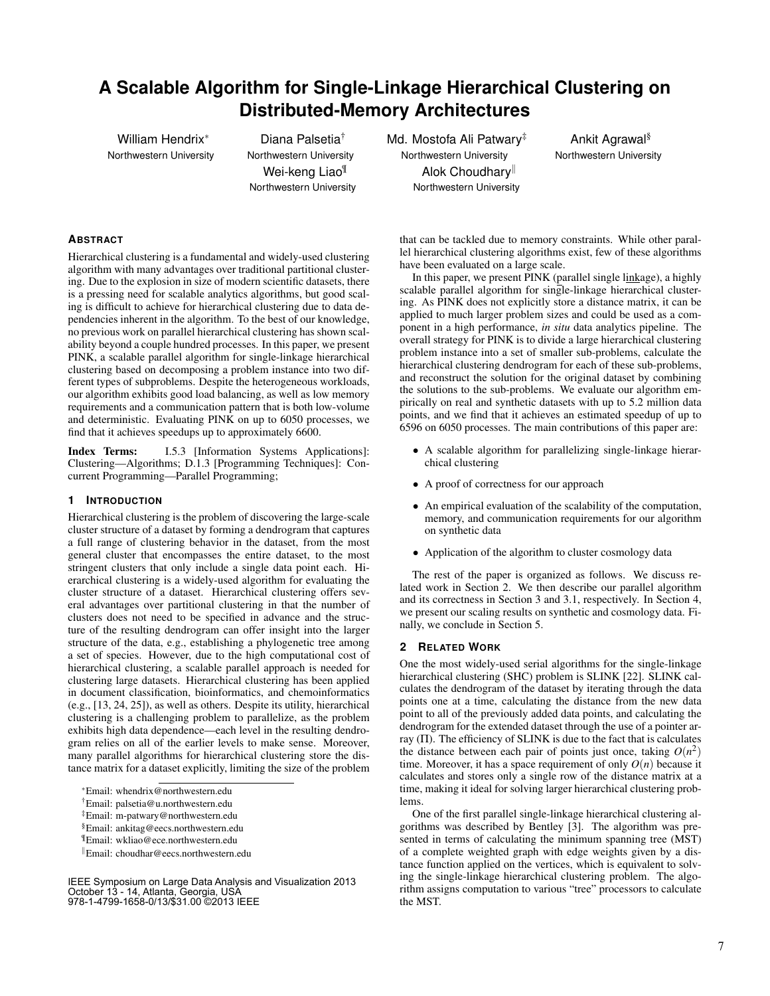# **A Scalable Algorithm for Single-Linkage Hierarchical Clustering on Distributed-Memory Architectures**

William Hendrix<sup>\*</sup> Northwestern University

Diana Palsetia† Northwestern University Wei-keng Liao¶ Northwestern University Md. Mostofa Ali Patwary<sup>‡</sup> Northwestern University Alok Choudhary<sup>||</sup> Northwestern University

Ankit Agrawal§ Northwestern University

# **ABSTRACT**

Hierarchical clustering is a fundamental and widely-used clustering algorithm with many advantages over traditional partitional clustering. Due to the explosion in size of modern scientific datasets, there is a pressing need for scalable analytics algorithms, but good scaling is difficult to achieve for hierarchical clustering due to data dependencies inherent in the algorithm. To the best of our knowledge, no previous work on parallel hierarchical clustering has shown scalability beyond a couple hundred processes. In this paper, we present PINK, a scalable parallel algorithm for single-linkage hierarchical clustering based on decomposing a problem instance into two different types of subproblems. Despite the heterogeneous workloads, our algorithm exhibits good load balancing, as well as low memory requirements and a communication pattern that is both low-volume and deterministic. Evaluating PINK on up to 6050 processes, we find that it achieves speedups up to approximately 6600.

Index Terms: I.5.3 [Information Systems Applications]: Clustering—Algorithms; D.1.3 [Programming Techniques]: Concurrent Programming—Parallel Programming;

## **1 INTRODUCTION**

Hierarchical clustering is the problem of discovering the large-scale cluster structure of a dataset by forming a dendrogram that captures a full range of clustering behavior in the dataset, from the most general cluster that encompasses the entire dataset, to the most stringent clusters that only include a single data point each. Hierarchical clustering is a widely-used algorithm for evaluating the cluster structure of a dataset. Hierarchical clustering offers several advantages over partitional clustering in that the number of clusters does not need to be specified in advance and the structure of the resulting dendrogram can offer insight into the larger structure of the data, e.g., establishing a phylogenetic tree among a set of species. However, due to the high computational cost of hierarchical clustering, a scalable parallel approach is needed for clustering large datasets. Hierarchical clustering has been applied in document classification, bioinformatics, and chemoinformatics (e.g., [13, 24, 25]), as well as others. Despite its utility, hierarchical clustering is a challenging problem to parallelize, as the problem exhibits high data dependence—each level in the resulting dendrogram relies on all of the earlier levels to make sense. Moreover, many parallel algorithms for hierarchical clustering store the distance matrix for a dataset explicitly, limiting the size of the problem

<sup>∗</sup>Email: whendrix@northwestern.edu

†Email: palsetia@u.northwestern.edu

‡Email: m-patwary@northwestern.edu

§Email: ankitag@eecs.northwestern.edu

¶Email: wkliao@ece.northwestern.edu

<sup>k</sup>Email: choudhar@eecs.northwestern.edu

IEEE Symposium on Large Data Analysis and Visualization 2013 October 13 - 14, Atlanta, Georgia, USA 978-1-4799-1658-0/13/\$31.00 ©2013 IEEE

that can be tackled due to memory constraints. While other parallel hierarchical clustering algorithms exist, few of these algorithms have been evaluated on a large scale.

In this paper, we present PINK (parallel single linkage), a highly scalable parallel algorithm for single-linkage hierarchical clustering. As PINK does not explicitly store a distance matrix, it can be applied to much larger problem sizes and could be used as a component in a high performance, *in situ* data analytics pipeline. The overall strategy for PINK is to divide a large hierarchical clustering problem instance into a set of smaller sub-problems, calculate the hierarchical clustering dendrogram for each of these sub-problems, and reconstruct the solution for the original dataset by combining the solutions to the sub-problems. We evaluate our algorithm empirically on real and synthetic datasets with up to 5.2 million data points, and we find that it achieves an estimated speedup of up to 6596 on 6050 processes. The main contributions of this paper are:

- A scalable algorithm for parallelizing single-linkage hierarchical clustering
- A proof of correctness for our approach
- An empirical evaluation of the scalability of the computation, memory, and communication requirements for our algorithm on synthetic data
- Application of the algorithm to cluster cosmology data

The rest of the paper is organized as follows. We discuss related work in Section 2. We then describe our parallel algorithm and its correctness in Section 3 and 3.1, respectively. In Section 4, we present our scaling results on synthetic and cosmology data. Finally, we conclude in Section 5.

#### **2 RELATED WORK**

One the most widely-used serial algorithms for the single-linkage hierarchical clustering (SHC) problem is SLINK [22]. SLINK calculates the dendrogram of the dataset by iterating through the data points one at a time, calculating the distance from the new data point to all of the previously added data points, and calculating the dendrogram for the extended dataset through the use of a pointer array  $(\Pi)$ . The efficiency of SLINK is due to the fact that is calculates the distance between each pair of points just once, taking  $O(n^2)$ time. Moreover, it has a space requirement of only  $O(n)$  because it calculates and stores only a single row of the distance matrix at a time, making it ideal for solving larger hierarchical clustering problems.

One of the first parallel single-linkage hierarchical clustering algorithms was described by Bentley [3]. The algorithm was presented in terms of calculating the minimum spanning tree (MST) of a complete weighted graph with edge weights given by a distance function applied on the vertices, which is equivalent to solving the single-linkage hierarchical clustering problem. The algorithm assigns computation to various "tree" processors to calculate the MST.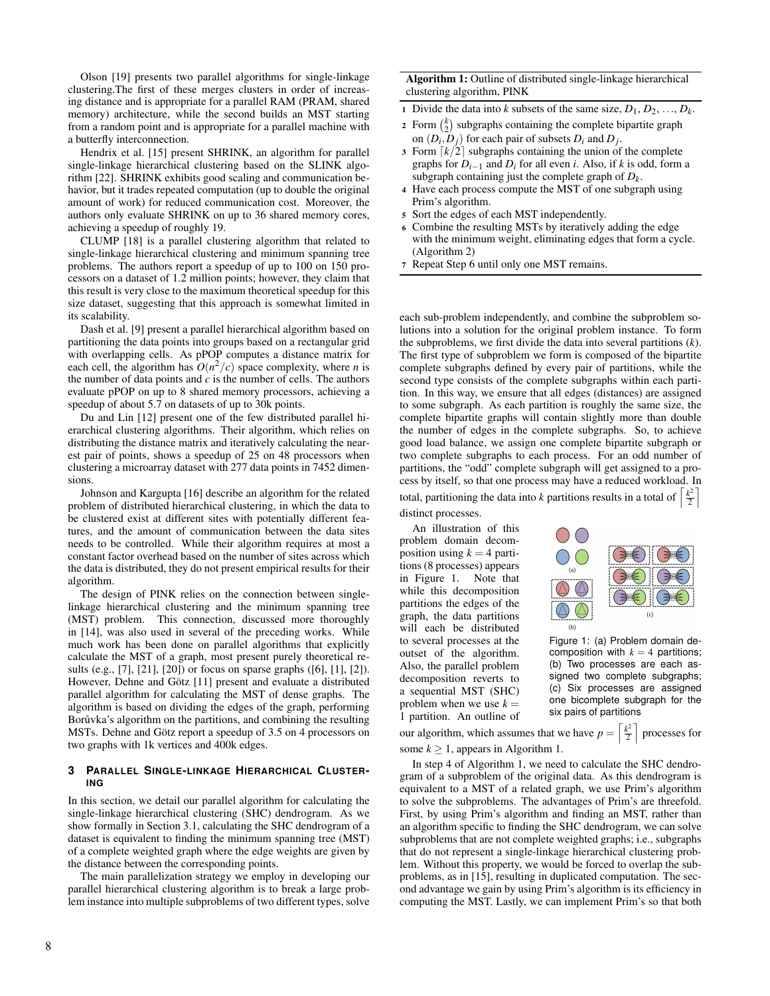Olson [19] presents two parallel algorithms for single-linkage clustering.The first of these merges clusters in order of increasing distance and is appropriate for a parallel RAM (PRAM, shared memory) architecture, while the second builds an MST starting from a random point and is appropriate for a parallel machine with a butterfly interconnection.

Hendrix et al. [15] present SHRINK, an algorithm for parallel single-linkage hierarchical clustering based on the SLINK algorithm [22]. SHRINK exhibits good scaling and communication behavior, but it trades repeated computation (up to double the original amount of work) for reduced communication cost. Moreover, the authors only evaluate SHRINK on up to 36 shared memory cores, achieving a speedup of roughly 19.

CLUMP [18] is a parallel clustering algorithm that related to single-linkage hierarchical clustering and minimum spanning tree problems. The authors report a speedup of up to 100 on 150 processors on a dataset of 1.2 million points; however, they claim that this result is very close to the maximum theoretical speedup for this size dataset, suggesting that this approach is somewhat limited in its scalability.

Dash et al. [9] present a parallel hierarchical algorithm based on partitioning the data points into groups based on a rectangular grid with overlapping cells. As pPOP computes a distance matrix for each cell, the algorithm has  $O(n^2/c)$  space complexity, where *n* is the number of data points and *c* is the number of cells. The authors evaluate pPOP on up to 8 shared memory processors, achieving a speedup of about 5.7 on datasets of up to 30k points.

Du and Lin [12] present one of the few distributed parallel hierarchical clustering algorithms. Their algorithm, which relies on distributing the distance matrix and iteratively calculating the nearest pair of points, shows a speedup of 25 on 48 processors when clustering a microarray dataset with 277 data points in 7452 dimensions.

Johnson and Kargupta [16] describe an algorithm for the related problem of distributed hierarchical clustering, in which the data to be clustered exist at different sites with potentially different features, and the amount of communication between the data sites needs to be controlled. While their algorithm requires at most a constant factor overhead based on the number of sites across which the data is distributed, they do not present empirical results for their algorithm.

The design of PINK relies on the connection between singlelinkage hierarchical clustering and the minimum spanning tree (MST) problem. This connection, discussed more thoroughly in [14], was also used in several of the preceding works. While much work has been done on parallel algorithms that explicitly calculate the MST of a graph, most present purely theoretical results (e.g., [7], [21], [20]) or focus on sparse graphs ([6], [1], [2]). However, Dehne and Götz [11] present and evaluate a distributed parallel algorithm for calculating the MST of dense graphs. The algorithm is based on dividing the edges of the graph, performing Borůvka's algorithm on the partitions, and combining the resulting MSTs. Dehne and Götz report a speedup of 3.5 on 4 processors on two graphs with 1k vertices and 400k edges.

# **3 PARALLEL SINGLE-LINKAGE HIERARCHICAL CLUSTER-ING**

In this section, we detail our parallel algorithm for calculating the single-linkage hierarchical clustering (SHC) dendrogram. As we show formally in Section 3.1, calculating the SHC dendrogram of a dataset is equivalent to finding the minimum spanning tree (MST) of a complete weighted graph where the edge weights are given by the distance between the corresponding points.

The main parallelization strategy we employ in developing our parallel hierarchical clustering algorithm is to break a large problem instance into multiple subproblems of two different types, solve

Algorithm 1: Outline of distributed single-linkage hierarchical clustering algorithm, PINK

- 1 Divide the data into *k* subsets of the same size,  $D_1, D_2, \ldots, D_k$ .
- 2 Form  $\binom{k}{2}$  subgraphs containing the complete bipartite graph on  $(D_i, D_j)$  for each pair of subsets  $D_i$  and  $D_j$ .
- 3 Form  $\lceil k/2 \rceil$  subgraphs containing the union of the complete graphs for  $D_{i-1}$  and  $D_i$  for all even *i*. Also, if *k* is odd, form a subgraph containing just the complete graph of *D<sup>k</sup>* .
- <sup>4</sup> Have each process compute the MST of one subgraph using Prim's algorithm.
- <sup>5</sup> Sort the edges of each MST independently.
- <sup>6</sup> Combine the resulting MSTs by iteratively adding the edge with the minimum weight, eliminating edges that form a cycle. (Algorithm 2)
- <sup>7</sup> Repeat Step 6 until only one MST remains.

each sub-problem independently, and combine the subproblem solutions into a solution for the original problem instance. To form the subproblems, we first divide the data into several partitions (*k*). The first type of subproblem we form is composed of the bipartite complete subgraphs defined by every pair of partitions, while the second type consists of the complete subgraphs within each partition. In this way, we ensure that all edges (distances) are assigned to some subgraph. As each partition is roughly the same size, the complete bipartite graphs will contain slightly more than double the number of edges in the complete subgraphs. So, to achieve good load balance, we assign one complete bipartite subgraph or two complete subgraphs to each process. For an odd number of partitions, the "odd" complete subgraph will get assigned to a process by itself, so that one process may have a reduced workload. In

total, partitioning the data into *k* partitions results in a total of  $\left[\frac{k^2}{2}\right]$ m distinct processes.

An illustration of this problem domain decomposition using  $k = 4$  partitions (8 processes) appears in Figure 1. Note that while this decomposition partitions the edges of the graph, the data partitions will each be distributed to several processes at the outset of the algorithm. Also, the parallel problem decomposition reverts to a sequential MST (SHC) problem when we use  $k =$ 1 partition. An outline of



Figure 1: (a) Problem domain decomposition with  $k = 4$  partitions; (b) Two processes are each assigned two complete subgraphs; (c) Six processes are assigned one bicomplete subgraph for the six pairs of partitions

our algorithm, which assumes that we have  $p = \left\lceil \frac{k^2}{2} \right\rceil$  processes for some  $k \geq 1$ , appears in Algorithm 1.

In step 4 of Algorithm 1, we need to calculate the SHC dendrogram of a subproblem of the original data. As this dendrogram is equivalent to a MST of a related graph, we use Prim's algorithm to solve the subproblems. The advantages of Prim's are threefold. First, by using Prim's algorithm and finding an MST, rather than an algorithm specific to finding the SHC dendrogram, we can solve subproblems that are not complete weighted graphs; i.e., subgraphs that do not represent a single-linkage hierarchical clustering problem. Without this property, we would be forced to overlap the subproblems, as in [15], resulting in duplicated computation. The second advantage we gain by using Prim's algorithm is its efficiency in computing the MST. Lastly, we can implement Prim's so that both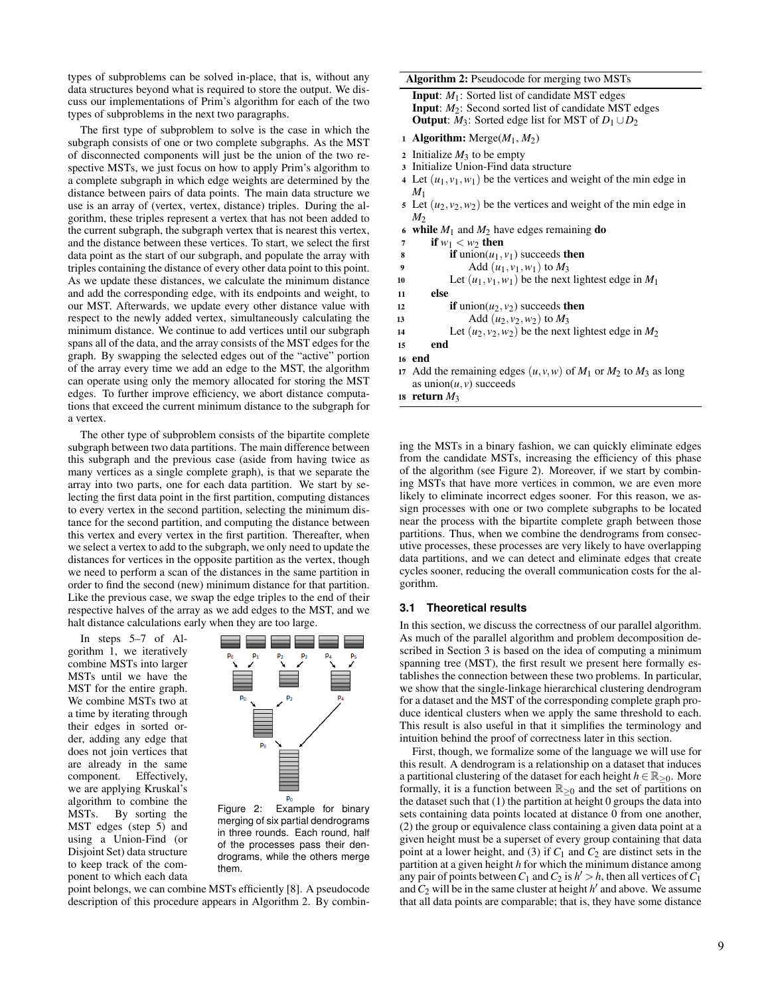types of subproblems can be solved in-place, that is, without any data structures beyond what is required to store the output. We discuss our implementations of Prim's algorithm for each of the two types of subproblems in the next two paragraphs.

The first type of subproblem to solve is the case in which the subgraph consists of one or two complete subgraphs. As the MST of disconnected components will just be the union of the two respective MSTs, we just focus on how to apply Prim's algorithm to a complete subgraph in which edge weights are determined by the distance between pairs of data points. The main data structure we use is an array of (vertex, vertex, distance) triples. During the algorithm, these triples represent a vertex that has not been added to the current subgraph, the subgraph vertex that is nearest this vertex, and the distance between these vertices. To start, we select the first data point as the start of our subgraph, and populate the array with triples containing the distance of every other data point to this point. As we update these distances, we calculate the minimum distance and add the corresponding edge, with its endpoints and weight, to our MST. Afterwards, we update every other distance value with respect to the newly added vertex, simultaneously calculating the minimum distance. We continue to add vertices until our subgraph spans all of the data, and the array consists of the MST edges for the graph. By swapping the selected edges out of the "active" portion of the array every time we add an edge to the MST, the algorithm can operate using only the memory allocated for storing the MST edges. To further improve efficiency, we abort distance computations that exceed the current minimum distance to the subgraph for a vertex.

The other type of subproblem consists of the bipartite complete subgraph between two data partitions. The main difference between this subgraph and the previous case (aside from having twice as many vertices as a single complete graph), is that we separate the array into two parts, one for each data partition. We start by selecting the first data point in the first partition, computing distances to every vertex in the second partition, selecting the minimum distance for the second partition, and computing the distance between this vertex and every vertex in the first partition. Thereafter, when we select a vertex to add to the subgraph, we only need to update the distances for vertices in the opposite partition as the vertex, though we need to perform a scan of the distances in the same partition in order to find the second (new) minimum distance for that partition. Like the previous case, we swap the edge triples to the end of their respective halves of the array as we add edges to the MST, and we halt distance calculations early when they are too large.

In steps 5–7 of Algorithm  $\overline{1}$ , we iteratively combine MSTs into larger MSTs until we have the MST for the entire graph. We combine MSTs two at a time by iterating through their edges in sorted order, adding any edge that does not join vertices that are already in the same component. Effectively, we are applying Kruskal's algorithm to combine the MSTs. By sorting the MST edges (step 5) and using a Union-Find (or Disjoint Set) data structure to keep track of the component to which each data



Figure 2: Example for binary merging of six partial dendrograms in three rounds. Each round, half of the processes pass their dendrograms, while the others merge them.

point belongs, we can combine MSTs efficiently [8]. A pseudocode description of this procedure appears in Algorithm 2. By combinAlgorithm 2: Pseudocode for merging two MSTs Input: *M*1: Sorted list of candidate MST edges

| <b>Imput.</b> <i>M</i> <sub>1</sub> , bonca not of candidate Mb I cuges |
|-------------------------------------------------------------------------|
| <b>Input:</b> $M_2$ : Second sorted list of candidate MST edges         |
| <b>Output:</b> $M_3$ : Sorted edge list for MST of $D_1 \cup D_2$       |

- 1 Algorithm: Merge $(M_1, M_2)$
- 2 Initialize  $M_3$  to be empty
- <sup>3</sup> Initialize Union-Find data structure
- 4 Let  $(u_1, v_1, w_1)$  be the vertices and weight of the min edge in *M*<sup>1</sup>
- 5 Let  $(u_2, v_2, w_2)$  be the vertices and weight of the min edge in  $M<sub>2</sub>$
- 6 while  $M_1$  and  $M_2$  have edges remaining **do**
- 7 if  $w_1 < w_2$  then
- 8 if union( $u_1, v_1$ ) succeeds then<br>9  $Add (u_1, v_1, w_1)$  to  $M_2$
- 9 Add  $(u_1, v_1, w_1)$  to  $M_3$ <br>10 Let  $(u_1, v_1, w_1)$  be the next
- Let  $(u_1, v_1, w_1)$  be the next lightest edge in  $M_1$
- <sup>11</sup> else
- 12 if union( $u_2$ ,  $v_2$ ) succeeds then
- 13 Add  $(u_2, v_2, w_2)$  to  $M_3$
- 14 Let  $(u_2, v_2, w_2)$  be the next lightest edge in  $M_2$
- <sup>15</sup> end

<sup>16</sup> end

- 17 Add the remaining edges  $(u, v, w)$  of  $M_1$  or  $M_2$  to  $M_3$  as long as  $union(u, v)$  succeeds
- 18 return  $M_3$

ing the MSTs in a binary fashion, we can quickly eliminate edges from the candidate MSTs, increasing the efficiency of this phase of the algorithm (see Figure 2). Moreover, if we start by combining MSTs that have more vertices in common, we are even more likely to eliminate incorrect edges sooner. For this reason, we assign processes with one or two complete subgraphs to be located near the process with the bipartite complete graph between those partitions. Thus, when we combine the dendrograms from consecutive processes, these processes are very likely to have overlapping data partitions, and we can detect and eliminate edges that create cycles sooner, reducing the overall communication costs for the algorithm.

### **3.1 Theoretical results**

In this section, we discuss the correctness of our parallel algorithm. As much of the parallel algorithm and problem decomposition described in Section 3 is based on the idea of computing a minimum spanning tree (MST), the first result we present here formally establishes the connection between these two problems. In particular, we show that the single-linkage hierarchical clustering dendrogram for a dataset and the MST of the corresponding complete graph produce identical clusters when we apply the same threshold to each. This result is also useful in that it simplifies the terminology and intuition behind the proof of correctness later in this section.

First, though, we formalize some of the language we will use for this result. A dendrogram is a relationship on a dataset that induces a partitional clustering of the dataset for each height  $h \in \mathbb{R}_{>0}$ . More formally, it is a function between  $\mathbb{R}_{\geq 0}$  and the set of partitions on the dataset such that (1) the partition at height 0 groups the data into sets containing data points located at distance 0 from one another, (2) the group or equivalence class containing a given data point at a given height must be a superset of every group containing that data point at a lower height, and (3) if  $C_1$  and  $C_2$  are distinct sets in the partition at a given height *h* for which the minimum distance among any pair of points between  $C_1$  and  $C_2$  is  $h' > h$ , then all vertices of  $C_1$ and  $C_2$  will be in the same cluster at height  $h'$  and above. We assume that all data points are comparable; that is, they have some distance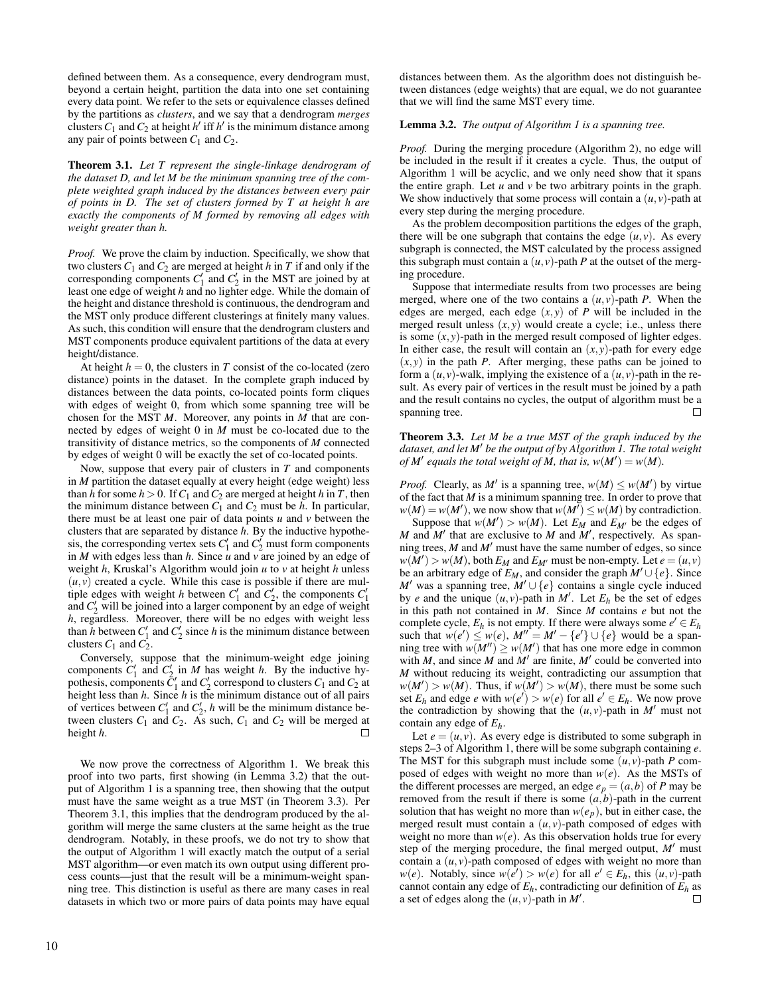defined between them. As a consequence, every dendrogram must, beyond a certain height, partition the data into one set containing every data point. We refer to the sets or equivalence classes defined by the partitions as *clusters*, and we say that a dendrogram *merges* clusters  $C_1$  and  $C_2$  at height  $h'$  iff  $h'$  is the minimum distance among any pair of points between  $C_1$  and  $C_2$ .

Theorem 3.1. *Let T represent the single-linkage dendrogram of the dataset D, and let M be the minimum spanning tree of the complete weighted graph induced by the distances between every pair of points in D. The set of clusters formed by T at height h are exactly the components of M formed by removing all edges with weight greater than h.*

*Proof.* We prove the claim by induction. Specifically, we show that two clusters  $C_1$  and  $C_2$  are merged at height *h* in *T* if and only if the corresponding components  $C_1'$  and  $C_2'$  in the MST are joined by at least one edge of weight *h* and no lighter edge. While the domain of the height and distance threshold is continuous, the dendrogram and the MST only produce different clusterings at finitely many values. As such, this condition will ensure that the dendrogram clusters and MST components produce equivalent partitions of the data at every height/distance.

At height  $h = 0$ , the clusters in *T* consist of the co-located (zero distance) points in the dataset. In the complete graph induced by distances between the data points, co-located points form cliques with edges of weight 0, from which some spanning tree will be chosen for the MST *M*. Moreover, any points in *M* that are connected by edges of weight 0 in *M* must be co-located due to the transitivity of distance metrics, so the components of *M* connected by edges of weight 0 will be exactly the set of co-located points.

Now, suppose that every pair of clusters in *T* and components in *M* partition the dataset equally at every height (edge weight) less than *h* for some  $h > 0$ . If  $C_1$  and  $C_2$  are merged at height *h* in *T*, then the minimum distance between  $C_1$  and  $C_2$  must be  $h$ . In particular, there must be at least one pair of data points *u* and *v* between the clusters that are separated by distance *h*. By the inductive hypothesis, the corresponding vertex sets  $C_1'$  and  $C_2'$  must form components in *M* with edges less than *h*. Since *u* and *v* are joined by an edge of weight *h*, Kruskal's Algorithm would join *u* to *v* at height *h* unless  $(u, v)$  created a cycle. While this case is possible if there are multiple edges with weight *h* between  $C_1'$  and  $C_2'$ , the components  $C_1'$ and  $C_2'$  will be joined into a larger component by an edge of weight *h*, regardless. Moreover, there will be no edges with weight less than *h* between  $C_1'$  and  $C_2'$  since *h* is the minimum distance between clusters  $C_1$  and  $C_2$ .

Conversely, suppose that the minimum-weight edge joining components  $C'_1$  and  $C'_2$  in *M* has weight *h*. By the inductive hypothesis, components  $\tilde{C}_1'$  and  $C_2'$  correspond to clusters  $C_1$  and  $C_2$  at height less than *h*. Since *h* is the minimum distance out of all pairs of vertices between  $C_1'$  and  $C_2'$ , *h* will be the minimum distance between clusters  $C_1$  and  $C_2$ . As such,  $C_1$  and  $C_2$  will be merged at height *h*.

We now prove the correctness of Algorithm 1. We break this proof into two parts, first showing (in Lemma 3.2) that the output of Algorithm 1 is a spanning tree, then showing that the output must have the same weight as a true MST (in Theorem 3.3). Per Theorem 3.1, this implies that the dendrogram produced by the algorithm will merge the same clusters at the same height as the true dendrogram. Notably, in these proofs, we do not try to show that the output of Algorithm 1 will exactly match the output of a serial MST algorithm—or even match its own output using different process counts—just that the result will be a minimum-weight spanning tree. This distinction is useful as there are many cases in real datasets in which two or more pairs of data points may have equal

distances between them. As the algorithm does not distinguish between distances (edge weights) that are equal, we do not guarantee that we will find the same MST every time.

#### Lemma 3.2. *The output of Algorithm 1 is a spanning tree.*

*Proof.* During the merging procedure (Algorithm 2), no edge will be included in the result if it creates a cycle. Thus, the output of Algorithm 1 will be acyclic, and we only need show that it spans the entire graph. Let  $u$  and  $v$  be two arbitrary points in the graph. We show inductively that some process will contain a  $(u, v)$ -path at every step during the merging procedure.

As the problem decomposition partitions the edges of the graph, there will be one subgraph that contains the edge  $(u, v)$ . As every subgraph is connected, the MST calculated by the process assigned this subgraph must contain a  $(u, v)$ -path *P* at the outset of the merging procedure.

Suppose that intermediate results from two processes are being merged, where one of the two contains a  $(u, v)$ -path *P*. When the edges are merged, each edge  $(x, y)$  of  $P$  will be included in the merged result unless  $(x, y)$  would create a cycle; i.e., unless there is some  $(x, y)$ -path in the merged result composed of lighter edges. In either case, the result will contain an  $(x, y)$ -path for every edge  $(x, y)$  in the path *P*. After merging, these paths can be joined to form a  $(u, v)$ -walk, implying the existence of a  $(u, v)$ -path in the result. As every pair of vertices in the result must be joined by a path and the result contains no cycles, the output of algorithm must be a spanning tree.  $\Box$ 

Theorem 3.3. *Let M be a true MST of the graph induced by the dataset, and let M' be the output of by Algorithm 1. The total weight of*  $M'$  equals the total weight of  $M$ , that is,  $w(M') = w(M)$ .

*Proof.* Clearly, as *M'* is a spanning tree,  $w(M) \leq w(M')$  by virtue of the fact that *M* is a minimum spanning tree. In order to prove that  $w(M) = w(M')$ , we now show that  $w(M') \leq w(M)$  by contradiction.

Suppose that  $w(M') > w(M)$ . Let  $E_M$  and  $E_{M'}$  be the edges of *M* and  $M'$  that are exclusive to  $M$  and  $M'$ , respectively. As spanning trees,  $M$  and  $M'$  must have the same number of edges, so since  $w(M') > w(M)$ , both  $E_M$  and  $E_{M'}$  must be non-empty. Let  $e = (u, v)$ be an arbitrary edge of  $E_M$ , and consider the graph  $M' \cup \{e\}$ . Since *M*<sup> $\prime$ </sup> was a spanning tree, *M*<sup> $\prime$ </sup> ∪ {*e*} contains a single cycle induced by *e* and the unique  $(u, v)$ -path in  $M'$ . Let  $E_h$  be the set of edges in this path not contained in *M*. Since *M* contains *e* but not the complete cycle,  $E_h$  is not empty. If there were always some  $e' \in E_h$ such that  $w(e') \leq w(e)$ ,  $M'' = M' - \{e'\} \cup \{e\}$  would be a spanning tree with  $w(M'') \geq w(M')$  that has one more edge in common with  $M$ , and since  $M$  and  $M'$  are finite,  $M'$  could be converted into *M* without reducing its weight, contradicting our assumption that  $w(M') > w(M)$ . Thus, if  $w(M') > w(M)$ , there must be some such set  $E_h$  and edge *e* with  $w(e') > w(e)$  for all  $e' \in E_h$ . We now prove the contradiction by showing that the  $(u, v)$ -path in *M'* must not contain any edge of *Eh*.

Let  $e = (u, v)$ . As every edge is distributed to some subgraph in steps 2–3 of Algorithm 1, there will be some subgraph containing *e*. The MST for this subgraph must include some  $(u, v)$ -path *P* composed of edges with weight no more than *w*(*e*). As the MSTs of the different processes are merged, an edge  $e_p = (a, b)$  of *P* may be removed from the result if there is some  $(a,b)$ -path in the current solution that has weight no more than  $w(e_p)$ , but in either case, the merged result must contain a  $(u, v)$ -path composed of edges with weight no more than  $w(e)$ . As this observation holds true for every step of the merging procedure, the final merged output,  $M'$  must contain a  $(u, v)$ -path composed of edges with weight no more than *w*(*e*). Notably, since  $w(e') > w(e)$  for all  $e' \in E_h$ , this  $(u, v)$ -path cannot contain any edge of  $E_h$ , contradicting our definition of  $E_h$  as a set of edges along the  $(\mu, \nu)$ -path in  $M'$ . a set of edges along the  $(u, v)$ -path in  $M'$ .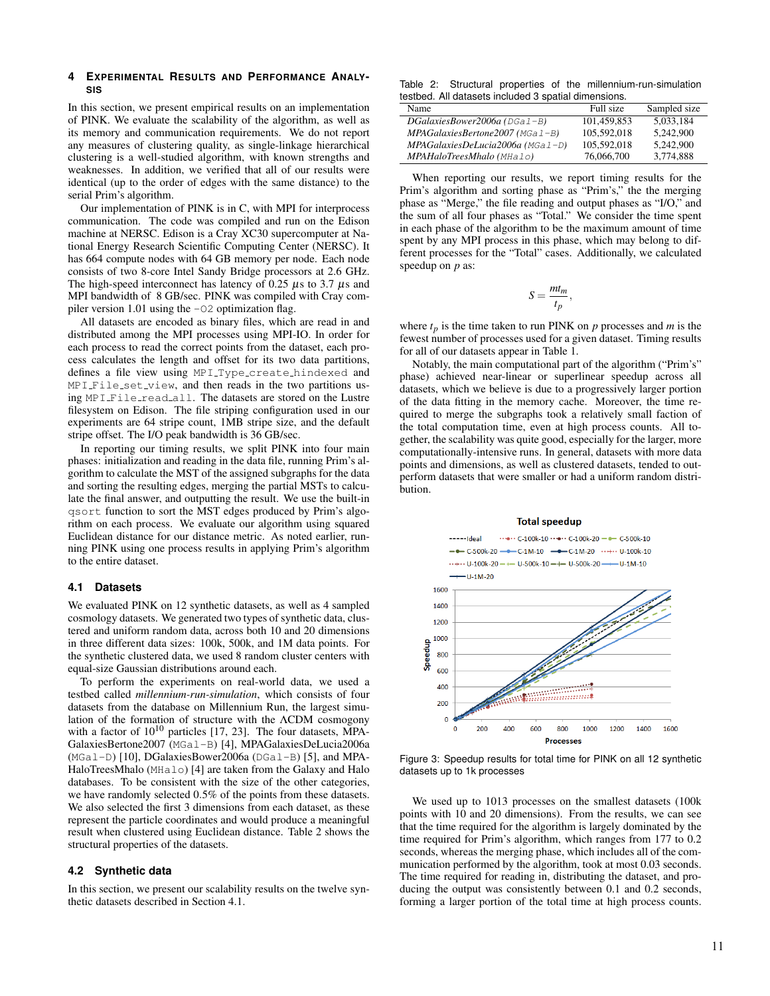# **4 EXPERIMENTAL RESULTS AND PERFORMANCE ANALY-SIS**

In this section, we present empirical results on an implementation of PINK. We evaluate the scalability of the algorithm, as well as its memory and communication requirements. We do not report any measures of clustering quality, as single-linkage hierarchical clustering is a well-studied algorithm, with known strengths and weaknesses. In addition, we verified that all of our results were identical (up to the order of edges with the same distance) to the serial Prim's algorithm.

Our implementation of PINK is in C, with MPI for interprocess communication. The code was compiled and run on the Edison machine at NERSC. Edison is a Cray XC30 supercomputer at National Energy Research Scientific Computing Center (NERSC). It has 664 compute nodes with 64 GB memory per node. Each node consists of two 8-core Intel Sandy Bridge processors at 2.6 GHz. The high-speed interconnect has latency of 0.25  $\mu$ s to 3.7  $\mu$ s and MPI bandwidth of 8 GB/sec. PINK was compiled with Cray compiler version 1.01 using the  $-\text{O2}$  optimization flag.

All datasets are encoded as binary files, which are read in and distributed among the MPI processes using MPI-IO. In order for each process to read the correct points from the dataset, each process calculates the length and offset for its two data partitions, defines a file view using MPI Type create hindexed and MPI File set view, and then reads in the two partitions using MPI File read all. The datasets are stored on the Lustre filesystem on Edison. The file striping configuration used in our experiments are 64 stripe count, 1MB stripe size, and the default stripe offset. The I/O peak bandwidth is 36 GB/sec.

In reporting our timing results, we split PINK into four main phases: initialization and reading in the data file, running Prim's algorithm to calculate the MST of the assigned subgraphs for the data and sorting the resulting edges, merging the partial MSTs to calculate the final answer, and outputting the result. We use the built-in qsort function to sort the MST edges produced by Prim's algorithm on each process. We evaluate our algorithm using squared Euclidean distance for our distance metric. As noted earlier, running PINK using one process results in applying Prim's algorithm to the entire dataset.

# **4.1 Datasets**

We evaluated PINK on 12 synthetic datasets, as well as 4 sampled cosmology datasets. We generated two types of synthetic data, clustered and uniform random data, across both 10 and 20 dimensions in three different data sizes: 100k, 500k, and 1M data points. For the synthetic clustered data, we used 8 random cluster centers with equal-size Gaussian distributions around each.

To perform the experiments on real-world data, we used a testbed called *millennium-run-simulation*, which consists of four datasets from the database on Millennium Run, the largest simulation of the formation of structure with the ΛCDM cosmogony with a factor of  $10^{10}$  particles [17, 23]. The four datasets, MPA-GalaxiesBertone2007 (MGal-B) [4], MPAGalaxiesDeLucia2006a  $(MGal-D)$  [10], DGalaxiesBower2006a (DGal-B) [5], and MPA-HaloTreesMhalo (MHalo) [4] are taken from the Galaxy and Halo databases. To be consistent with the size of the other categories, we have randomly selected 0.5% of the points from these datasets. We also selected the first 3 dimensions from each dataset, as these represent the particle coordinates and would produce a meaningful result when clustered using Euclidean distance. Table 2 shows the structural properties of the datasets.

# **4.2 Synthetic data**

In this section, we present our scalability results on the twelve synthetic datasets described in Section 4.1.

Table 2: Structural properties of the millennium-run-simulation testbed. All datasets included 3 spatial dimensions.

| Name                               | Full size   | Sampled size |
|------------------------------------|-------------|--------------|
| $DGalaxiesBower2006a (DGal-B)$     | 101.459.853 | 5.033.184    |
| $MPAGalaxiesBertone 2007 (MGa1-B)$ | 105.592.018 | 5.242,900    |
| $MPAGalaxiesDeLucia2006a (MGa1-D)$ | 105,592,018 | 5.242,900    |
| MPAHaloTreesMhalo (MHalo)          | 76,066,700  | 3.774.888    |

When reporting our results, we report timing results for the Prim's algorithm and sorting phase as "Prim's," the the merging phase as "Merge," the file reading and output phases as "I/O," and the sum of all four phases as "Total." We consider the time spent in each phase of the algorithm to be the maximum amount of time spent by any MPI process in this phase, which may belong to different processes for the "Total" cases. Additionally, we calculated speedup on *p* as:

$$
S=\frac{mt_m}{t_p},
$$

where  $t_p$  is the time taken to run PINK on  $p$  processes and  $m$  is the fewest number of processes used for a given dataset. Timing results for all of our datasets appear in Table 1.

Notably, the main computational part of the algorithm ("Prim's" phase) achieved near-linear or superlinear speedup across all datasets, which we believe is due to a progressively larger portion of the data fitting in the memory cache. Moreover, the time required to merge the subgraphs took a relatively small faction of the total computation time, even at high process counts. All together, the scalability was quite good, especially for the larger, more computationally-intensive runs. In general, datasets with more data points and dimensions, as well as clustered datasets, tended to outperform datasets that were smaller or had a uniform random distribution.

#### **Total speedup**



Figure 3: Speedup results for total time for PINK on all 12 synthetic datasets up to 1k processes

We used up to 1013 processes on the smallest datasets (100k points with 10 and 20 dimensions). From the results, we can see that the time required for the algorithm is largely dominated by the time required for Prim's algorithm, which ranges from 177 to 0.2 seconds, whereas the merging phase, which includes all of the communication performed by the algorithm, took at most 0.03 seconds. The time required for reading in, distributing the dataset, and producing the output was consistently between 0.1 and 0.2 seconds, forming a larger portion of the total time at high process counts.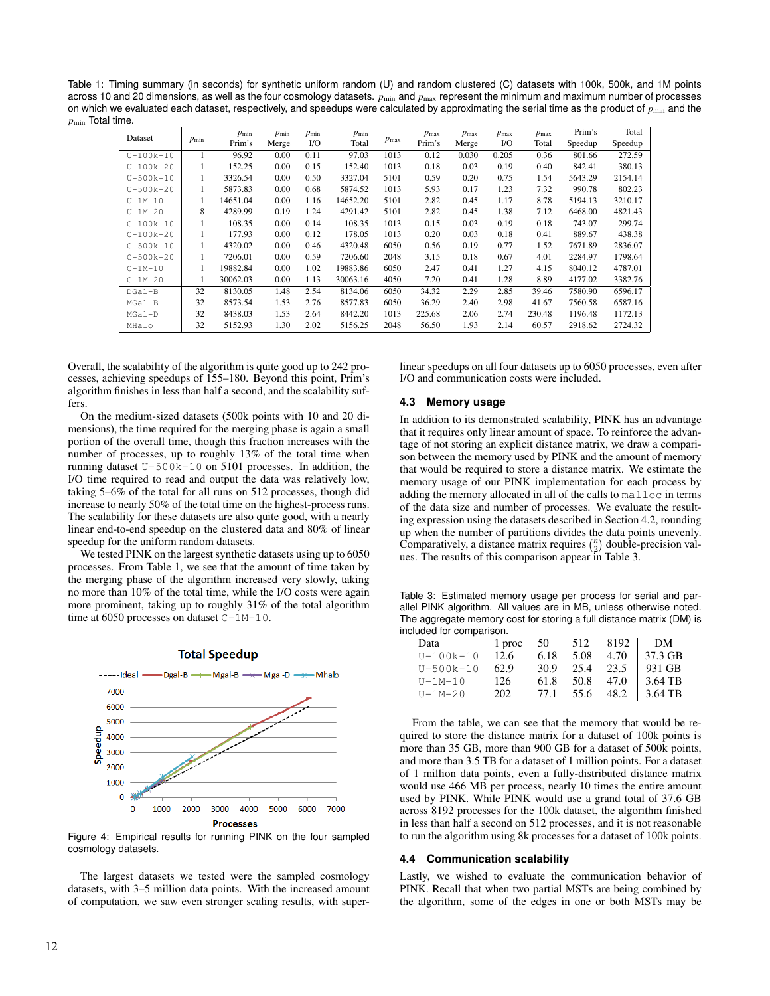Table 1: Timing summary (in seconds) for synthetic uniform random (U) and random clustered (C) datasets with 100k, 500k, and 1M points across 10 and 20 dimensions, as well as the four cosmology datasets.  $p_{min}$  and  $p_{max}$  represent the minimum and maximum number of processes on which we evaluated each dataset, respectively, and speedups were calculated by approximating the serial time as the product of  $p_{\min}$  and the  $p_{\text{min}}$  Total time.

| Dataset<br>$p_{\min}$ | $p_{\min}$ |          | $p_{\min}$ | $p_{\min}$ | $p_{\min}$       |        | $p_{\text{max}}$ | $p_{\text{max}}$ | $p_{\text{max}}$ | $p_{\text{max}}$ | Prim's  | Total   |
|-----------------------|------------|----------|------------|------------|------------------|--------|------------------|------------------|------------------|------------------|---------|---------|
|                       | Prim's     | Merge    | $U$ O      | Total      | $p_{\text{max}}$ | Prim's | Merge            | $1/O$            | Total            | Speedup          | Speedup |         |
| $U - 100k - 10$       |            | 96.92    | 0.00       | 0.11       | 97.03            | 1013   | 0.12             | 0.030            | 0.205            | 0.36             | 801.66  | 272.59  |
| $U - 100k - 20$       |            | 152.25   | 0.00       | 0.15       | 152.40           | 1013   | 0.18             | 0.03             | 0.19             | 0.40             | 842.41  | 380.13  |
| $U - 500k - 10$       |            | 3326.54  | 0.00       | 0.50       | 3327.04          | 5101   | 0.59             | 0.20             | 0.75             | 1.54             | 5643.29 | 2154.14 |
| $U - 500k - 20$       |            | 5873.83  | 0.00       | 0.68       | 5874.52          | 1013   | 5.93             | 0.17             | 1.23             | 7.32             | 990.78  | 802.23  |
| $U-1M-10$             |            | 14651.04 | 0.00       | 1.16       | 14652.20         | 5101   | 2.82             | 0.45             | 1.17             | 8.78             | 5194.13 | 3210.17 |
| $U-1M-20$             | 8          | 4289.99  | 0.19       | 1.24       | 4291.42          | 5101   | 2.82             | 0.45             | 1.38             | 7.12             | 6468.00 | 4821.43 |
| $C-100k-10$           |            | 108.35   | 0.00       | 0.14       | 108.35           | 1013   | 0.15             | 0.03             | 0.19             | 0.18             | 743.07  | 299.74  |
| $C-100k-20$           |            | 177.93   | 0.00       | 0.12       | 178.05           | 1013   | 0.20             | 0.03             | 0.18             | 0.41             | 889.67  | 438.38  |
| $C-500k-10$           |            | 4320.02  | 0.00       | 0.46       | 4320.48          | 6050   | 0.56             | 0.19             | 0.77             | 1.52             | 7671.89 | 2836.07 |
| $C - 500k - 20$       |            | 7206.01  | 0.00       | 0.59       | 7206.60          | 2048   | 3.15             | 0.18             | 0.67             | 4.01             | 2284.97 | 1798.64 |
| $C-1M-10$             |            | 19882.84 | 0.00       | 1.02       | 19883.86         | 6050   | 2.47             | 0.41             | 1.27             | 4.15             | 8040.12 | 4787.01 |
| $C-1M-20$             |            | 30062.03 | 0.00       | 1.13       | 30063.16         | 4050   | 7.20             | 0.41             | 1.28             | 8.89             | 4177.02 | 3382.76 |
| DGal-B                | 32         | 8130.05  | 1.48       | 2.54       | 8134.06          | 6050   | 34.32            | 2.29             | 2.85             | 39.46            | 7580.90 | 6596.17 |
| $MGal-B$              | 32         | 8573.54  | 1.53       | 2.76       | 8577.83          | 6050   | 36.29            | 2.40             | 2.98             | 41.67            | 7560.58 | 6587.16 |
| $MGal-D$              | 32         | 8438.03  | 1.53       | 2.64       | 8442.20          | 1013   | 225.68           | 2.06             | 2.74             | 230.48           | 1196.48 | 1172.13 |
| MHalo                 | 32         | 5152.93  | 1.30       | 2.02       | 5156.25          | 2048   | 56.50            | 1.93             | 2.14             | 60.57            | 2918.62 | 2724.32 |

Overall, the scalability of the algorithm is quite good up to 242 processes, achieving speedups of 155–180. Beyond this point, Prim's algorithm finishes in less than half a second, and the scalability suffers.

On the medium-sized datasets (500k points with 10 and 20 dimensions), the time required for the merging phase is again a small portion of the overall time, though this fraction increases with the number of processes, up to roughly 13% of the total time when running dataset U-500k-10 on 5101 processes. In addition, the I/O time required to read and output the data was relatively low, taking 5–6% of the total for all runs on 512 processes, though did increase to nearly 50% of the total time on the highest-process runs. The scalability for these datasets are also quite good, with a nearly linear end-to-end speedup on the clustered data and 80% of linear speedup for the uniform random datasets.

We tested PINK on the largest synthetic datasets using up to 6050 processes. From Table 1, we see that the amount of time taken by the merging phase of the algorithm increased very slowly, taking no more than 10% of the total time, while the I/O costs were again more prominent, taking up to roughly 31% of the total algorithm time at 6050 processes on dataset C-1M-10.



**Total Speedup** 

Figure 4: Empirical results for running PINK on the four sampled cosmology datasets.

The largest datasets we tested were the sampled cosmology datasets, with 3–5 million data points. With the increased amount of computation, we saw even stronger scaling results, with superlinear speedups on all four datasets up to 6050 processes, even after I/O and communication costs were included.

#### **4.3 Memory usage**

In addition to its demonstrated scalability, PINK has an advantage that it requires only linear amount of space. To reinforce the advantage of not storing an explicit distance matrix, we draw a comparison between the memory used by PINK and the amount of memory that would be required to store a distance matrix. We estimate the memory usage of our PINK implementation for each process by adding the memory allocated in all of the calls to malloc in terms of the data size and number of processes. We evaluate the resulting expression using the datasets described in Section 4.2, rounding up when the number of partitions divides the data points unevenly. Comparatively, a distance matrix requires  $\binom{n}{2}$  double-precision values. The results of this comparison appear in Table 3.

Table 3: Estimated memory usage per process for serial and parallel PINK algorithm. All values are in MB, unless otherwise noted. The aggregate memory cost for storing a full distance matrix (DM) is included for comparison.

| Data            | 1 proc  | 50   | 512  | 8192 | - DM    |
|-----------------|---------|------|------|------|---------|
| $U - 100k - 10$ | $-12.6$ | 6.18 | 5.08 | 4.70 | 37.3 GB |
| $U - 500k - 10$ | 62.9    | 30.9 | 25.4 | 23.5 | 931 GB  |
| $U-1M-10$       | 126     | 61.8 | 50.8 | 47.0 | 3.64 TB |
| $U - 1M - 20$   | 202     | 77.1 | 55.6 | 48.2 | 3.64 TB |

From the table, we can see that the memory that would be required to store the distance matrix for a dataset of 100k points is more than 35 GB, more than 900 GB for a dataset of 500k points, and more than 3.5 TB for a dataset of 1 million points. For a dataset of 1 million data points, even a fully-distributed distance matrix would use 466 MB per process, nearly 10 times the entire amount used by PINK. While PINK would use a grand total of 37.6 GB across 8192 processes for the 100k dataset, the algorithm finished in less than half a second on 512 processes, and it is not reasonable to run the algorithm using 8k processes for a dataset of 100k points.

#### **4.4 Communication scalability**

Lastly, we wished to evaluate the communication behavior of PINK. Recall that when two partial MSTs are being combined by the algorithm, some of the edges in one or both MSTs may be